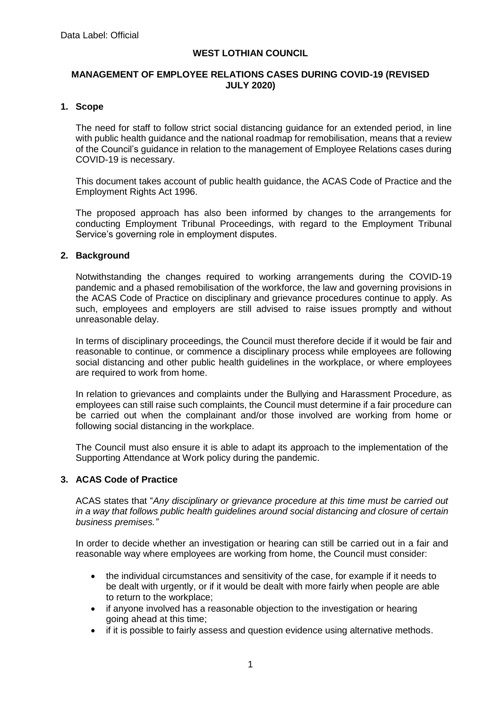## **WEST LOTHIAN COUNCIL**

### **MANAGEMENT OF EMPLOYEE RELATIONS CASES DURING COVID-19 (REVISED JULY 2020)**

#### **1. Scope**

The need for staff to follow strict social distancing guidance for an extended period, in line with public health guidance and the national roadmap for remobilisation, means that a review of the Council's guidance in relation to the management of Employee Relations cases during COVID-19 is necessary.

This document takes account of public health guidance, the ACAS Code of Practice and the Employment Rights Act 1996.

The proposed approach has also been informed by changes to the arrangements for conducting Employment Tribunal Proceedings, with regard to the Employment Tribunal Service's governing role in employment disputes.

#### **2. Background**

Notwithstanding the changes required to working arrangements during the COVID-19 pandemic and a phased remobilisation of the workforce, the law and governing provisions in the ACAS Code of Practice on disciplinary and grievance procedures continue to apply. As such, employees and employers are still advised to raise issues promptly and without unreasonable delay.

In terms of disciplinary proceedings, the Council must therefore decide if it would be fair and reasonable to continue, or commence a disciplinary process while employees are following social distancing and other public health guidelines in the workplace, or where employees are required to work from home.

In relation to grievances and complaints under the Bullying and Harassment Procedure, as employees can still raise such complaints, the Council must determine if a fair procedure can be carried out when the complainant and/or those involved are working from home or following social distancing in the workplace.

The Council must also ensure it is able to adapt its approach to the implementation of the Supporting Attendance at Work policy during the pandemic.

## **3. ACAS Code of Practice**

ACAS states that "*Any disciplinary or grievance procedure at this time must be carried out in a way that follows public health guidelines around social distancing and closure of certain business premises."*

In order to decide whether an investigation or hearing can still be carried out in a fair and reasonable way where employees are working from home, the Council must consider:

- the individual circumstances and sensitivity of the case, for example if it needs to be dealt with urgently, or if it would be dealt with more fairly when people are able to return to the workplace;
- if anyone involved has a reasonable objection to the investigation or hearing going ahead at this time;
- if it is possible to fairly assess and question evidence using alternative methods.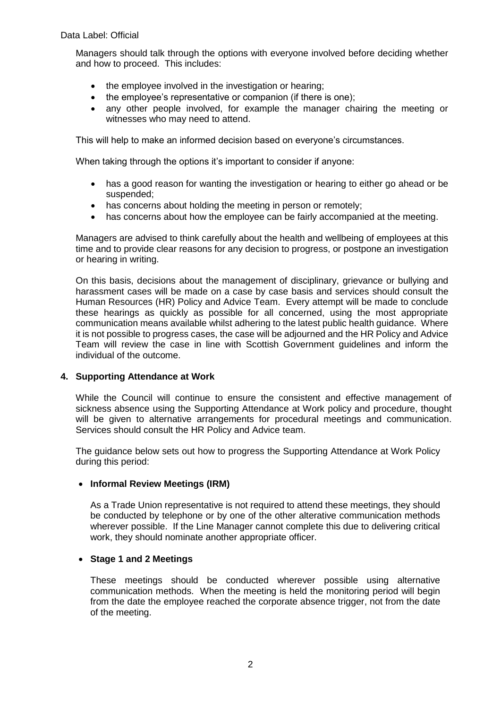Managers should talk through the options with everyone involved before deciding whether and how to proceed. This includes:

- the employee involved in the investigation or hearing;
- the employee's representative or companion (if there is one);
- any other people involved, for example the manager chairing the meeting or witnesses who may need to attend.

This will help to make an informed decision based on everyone's circumstances.

When taking through the options it's important to consider if anyone:

- has a good reason for wanting the investigation or hearing to either go ahead or be suspended;
- has concerns about holding the meeting in person or remotely;
- has concerns about how the employee can be fairly accompanied at the meeting.

Managers are advised to think carefully about the health and wellbeing of employees at this time and to provide clear reasons for any decision to progress, or postpone an investigation or hearing in writing.

On this basis, decisions about the management of disciplinary, grievance or bullying and harassment cases will be made on a case by case basis and services should consult the Human Resources (HR) Policy and Advice Team. Every attempt will be made to conclude these hearings as quickly as possible for all concerned, using the most appropriate communication means available whilst adhering to the latest public health guidance. Where it is not possible to progress cases, the case will be adjourned and the HR Policy and Advice Team will review the case in line with Scottish Government guidelines and inform the individual of the outcome.

### **4. Supporting Attendance at Work**

While the Council will continue to ensure the consistent and effective management of sickness absence using the Supporting Attendance at Work policy and procedure, thought will be given to alternative arrangements for procedural meetings and communication. Services should consult the HR Policy and Advice team.

The guidance below sets out how to progress the Supporting Attendance at Work Policy during this period:

### • **Informal Review Meetings (IRM)**

As a Trade Union representative is not required to attend these meetings, they should be conducted by telephone or by one of the other alterative communication methods wherever possible. If the Line Manager cannot complete this due to delivering critical work, they should nominate another appropriate officer.

### • **Stage 1 and 2 Meetings**

These meetings should be conducted wherever possible using alternative communication methods. When the meeting is held the monitoring period will begin from the date the employee reached the corporate absence trigger, not from the date of the meeting.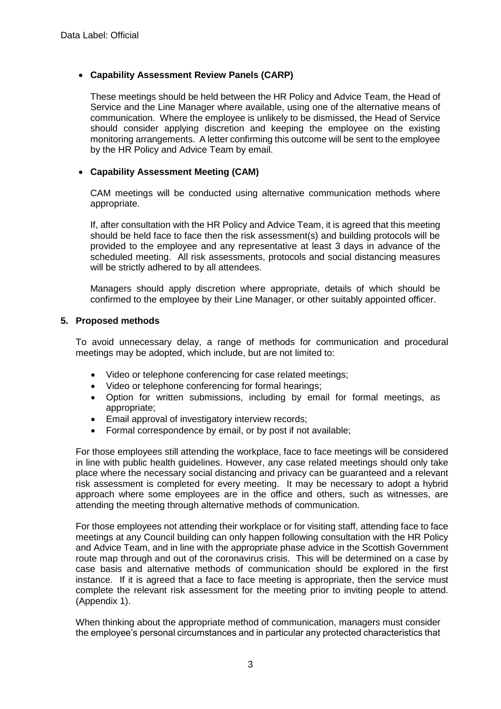## • **Capability Assessment Review Panels (CARP)**

These meetings should be held between the HR Policy and Advice Team, the Head of Service and the Line Manager where available, using one of the alternative means of communication. Where the employee is unlikely to be dismissed, the Head of Service should consider applying discretion and keeping the employee on the existing monitoring arrangements. A letter confirming this outcome will be sent to the employee by the HR Policy and Advice Team by email.

## • **Capability Assessment Meeting (CAM)**

CAM meetings will be conducted using alternative communication methods where appropriate.

If, after consultation with the HR Policy and Advice Team, it is agreed that this meeting should be held face to face then the risk assessment(s) and building protocols will be provided to the employee and any representative at least 3 days in advance of the scheduled meeting. All risk assessments, protocols and social distancing measures will be strictly adhered to by all attendees.

Managers should apply discretion where appropriate, details of which should be confirmed to the employee by their Line Manager, or other suitably appointed officer.

### **5. Proposed methods**

To avoid unnecessary delay, a range of methods for communication and procedural meetings may be adopted, which include, but are not limited to:

- Video or telephone conferencing for case related meetings;
- Video or telephone conferencing for formal hearings;
- Option for written submissions, including by email for formal meetings, as appropriate;
- Email approval of investigatory interview records;
- Formal correspondence by email, or by post if not available;

For those employees still attending the workplace, face to face meetings will be considered in line with public health guidelines. However, any case related meetings should only take place where the necessary social distancing and privacy can be guaranteed and a relevant risk assessment is completed for every meeting. It may be necessary to adopt a hybrid approach where some employees are in the office and others, such as witnesses, are attending the meeting through alternative methods of communication.

For those employees not attending their workplace or for visiting staff, attending face to face meetings at any Council building can only happen following consultation with the HR Policy and Advice Team, and in line with the appropriate phase advice in the Scottish Government route map through and out of the coronavirus crisis. This will be determined on a case by case basis and alternative methods of communication should be explored in the first instance. If it is agreed that a face to face meeting is appropriate, then the service must complete the relevant risk assessment for the meeting prior to inviting people to attend. (Appendix 1).

When thinking about the appropriate method of communication, managers must consider the employee's personal circumstances and in particular any protected characteristics that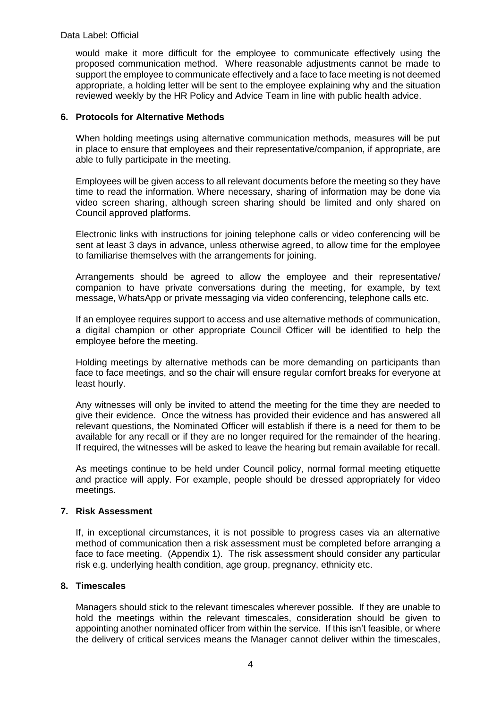would make it more difficult for the employee to communicate effectively using the proposed communication method. Where reasonable adjustments cannot be made to support the employee to communicate effectively and a face to face meeting is not deemed appropriate, a holding letter will be sent to the employee explaining why and the situation reviewed weekly by the HR Policy and Advice Team in line with public health advice.

## **6. Protocols for Alternative Methods**

When holding meetings using alternative communication methods, measures will be put in place to ensure that employees and their representative/companion, if appropriate, are able to fully participate in the meeting.

Employees will be given access to all relevant documents before the meeting so they have time to read the information. Where necessary, sharing of information may be done via video screen sharing, although screen sharing should be limited and only shared on Council approved platforms.

Electronic links with instructions for joining telephone calls or video conferencing will be sent at least 3 days in advance, unless otherwise agreed, to allow time for the employee to familiarise themselves with the arrangements for joining.

Arrangements should be agreed to allow the employee and their representative/ companion to have private conversations during the meeting, for example, by text message, WhatsApp or private messaging via video conferencing, telephone calls etc.

If an employee requires support to access and use alternative methods of communication, a digital champion or other appropriate Council Officer will be identified to help the employee before the meeting.

Holding meetings by alternative methods can be more demanding on participants than face to face meetings, and so the chair will ensure regular comfort breaks for everyone at least hourly.

Any witnesses will only be invited to attend the meeting for the time they are needed to give their evidence. Once the witness has provided their evidence and has answered all relevant questions, the Nominated Officer will establish if there is a need for them to be available for any recall or if they are no longer required for the remainder of the hearing. If required, the witnesses will be asked to leave the hearing but remain available for recall.

As meetings continue to be held under Council policy, normal formal meeting etiquette and practice will apply. For example, people should be dressed appropriately for video meetings.

## **7. Risk Assessment**

If, in exceptional circumstances, it is not possible to progress cases via an alternative method of communication then a risk assessment must be completed before arranging a face to face meeting. (Appendix 1). The risk assessment should consider any particular risk e.g. underlying health condition, age group, pregnancy, ethnicity etc.

### **8. Timescales**

Managers should stick to the relevant timescales wherever possible. If they are unable to hold the meetings within the relevant timescales, consideration should be given to appointing another nominated officer from within the service. If this isn't feasible, or where the delivery of critical services means the Manager cannot deliver within the timescales,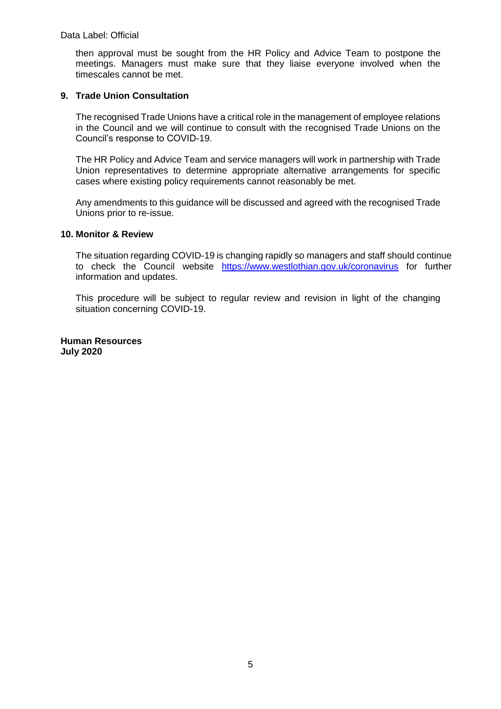then approval must be sought from the HR Policy and Advice Team to postpone the meetings. Managers must make sure that they liaise everyone involved when the timescales cannot be met.

### **9. Trade Union Consultation**

The recognised Trade Unions have a critical role in the management of employee relations in the Council and we will continue to consult with the recognised Trade Unions on the Council's response to COVID-19.

The HR Policy and Advice Team and service managers will work in partnership with Trade Union representatives to determine appropriate alternative arrangements for specific cases where existing policy requirements cannot reasonably be met.

Any amendments to this guidance will be discussed and agreed with the recognised Trade Unions prior to re-issue.

#### **10. Monitor & Review**

The situation regarding COVID-19 is changing rapidly so managers and staff should continue to check the Council website <https://www.westlothian.gov.uk/coronavirus> for further information and updates.

This procedure will be subject to regular review and revision in light of the changing situation concerning COVID-19.

**Human Resources July 2020**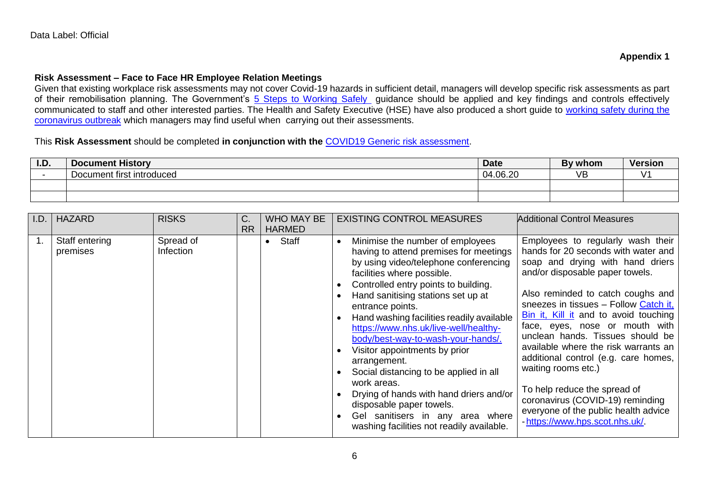#### **Risk Assessment – Face to Face HR Employee Relation Meetings**

Given that existing workplace risk assessments may not cover Covid-19 hazards in sufficient detail, managers will develop specific risk assessments as part of their remobilisation planning. The Government's [5 Steps to Working](https://www.gov.uk/guidance/working-safely-during-coronavirus-covid-19/5-steps-to-working-safely?utm_source=govdelivery&utm_medium=email&utm_campaign=coronavirus-hse&utm_term=covid-secure-1&utm_content=stakeholder-22-may-20) Safely guidance should be applied and key findings and controls effectively communicated to staff and other interested parties. The Health and Safety Executive (HSE) have also produced a short guide to working safety during the [coronavirus outbreak](https://www.hse.gov.uk/news/assets/docs/working-safely-guide.pdf?utm_source=govdelivery&utm_medium=email&utm_campaign=coronavirus&utm_term=covid-secure-2&utm_content=stakeholder-22-may-20) which managers may find useful when carrying out their assessments.

#### This **Risk Assessment** should be completed **in conjunction with the** [COVID19 Generic risk assessment.](https://intranet.westlothian.gov.uk/article/2197/Health-Safety-and-Welfare)

| I.D. | <b>Document History</b>   | Date         | By whom | Versior |
|------|---------------------------|--------------|---------|---------|
|      | Document first introduced | .06.20<br>04 | VB      |         |
|      |                           |              |         |         |
|      |                           |              |         |         |

| I.D. | <b>HAZARD</b>              | <b>RISKS</b>           | C <sub>1</sub> | <b>WHO MAY BE</b>  | <b>EXISTING CONTROL MEASURES</b>                                                                                                                                                                                                                                                                                                                                                                                                                                                                                                                                                                                                                               | <b>Additional Control Measures</b>                                                                                                                                                                                                                                                                                                                                                                                                                                                                                                                                                               |
|------|----------------------------|------------------------|----------------|--------------------|----------------------------------------------------------------------------------------------------------------------------------------------------------------------------------------------------------------------------------------------------------------------------------------------------------------------------------------------------------------------------------------------------------------------------------------------------------------------------------------------------------------------------------------------------------------------------------------------------------------------------------------------------------------|--------------------------------------------------------------------------------------------------------------------------------------------------------------------------------------------------------------------------------------------------------------------------------------------------------------------------------------------------------------------------------------------------------------------------------------------------------------------------------------------------------------------------------------------------------------------------------------------------|
|      |                            |                        | <b>RR</b>      | <b>HARMED</b>      |                                                                                                                                                                                                                                                                                                                                                                                                                                                                                                                                                                                                                                                                |                                                                                                                                                                                                                                                                                                                                                                                                                                                                                                                                                                                                  |
|      | Staff entering<br>premises | Spread of<br>Infection |                | Staff<br>$\bullet$ | Minimise the number of employees<br>$\bullet$<br>having to attend premises for meetings<br>by using video/telephone conferencing<br>facilities where possible.<br>Controlled entry points to building.<br>Hand sanitising stations set up at<br>entrance points.<br>Hand washing facilities readily available<br>https://www.nhs.uk/live-well/healthy-<br>body/best-way-to-wash-your-hands/.<br>Visitor appointments by prior<br>arrangement.<br>Social distancing to be applied in all<br>work areas.<br>Drying of hands with hand driers and/or<br>disposable paper towels.<br>Gel sanitisers in any area where<br>washing facilities not readily available. | Employees to regularly wash their<br>hands for 20 seconds with water and<br>soap and drying with hand driers<br>and/or disposable paper towels.<br>Also reminded to catch coughs and<br>sneezes in tissues - Follow Catch it,<br>Bin it, Kill it and to avoid touching<br>face, eyes, nose or mouth with<br>unclean hands. Tissues should be<br>available where the risk warrants an<br>additional control (e.g. care homes,<br>waiting rooms etc.)<br>To help reduce the spread of<br>coronavirus (COVID-19) reminding<br>everyone of the public health advice<br>-https://www.hps.scot.nhs.uk/ |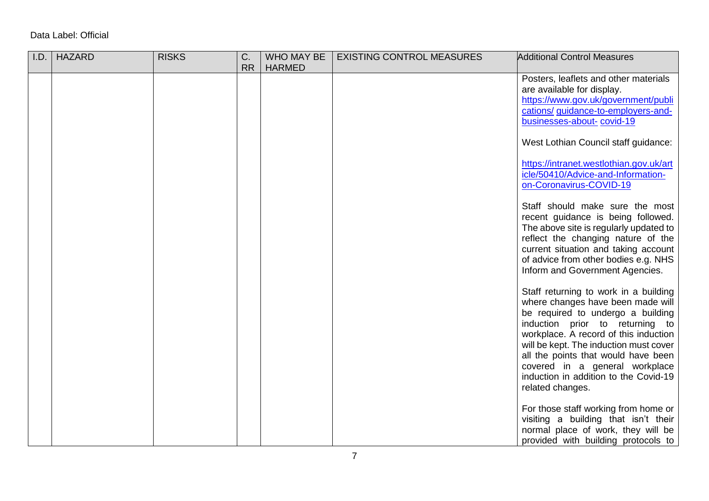| I.D. | <b>HAZARD</b> | <b>RISKS</b> | C.        | WHO MAY BE    | <b>EXISTING CONTROL MEASURES</b> | <b>Additional Control Measures</b>                                      |
|------|---------------|--------------|-----------|---------------|----------------------------------|-------------------------------------------------------------------------|
|      |               |              | <b>RR</b> | <b>HARMED</b> |                                  |                                                                         |
|      |               |              |           |               |                                  | Posters, leaflets and other materials                                   |
|      |               |              |           |               |                                  | are available for display.                                              |
|      |               |              |           |               |                                  | https://www.gov.uk/government/publi                                     |
|      |               |              |           |               |                                  | cations/ guidance-to-employers-and-                                     |
|      |               |              |           |               |                                  | businesses-about-covid-19                                               |
|      |               |              |           |               |                                  | West Lothian Council staff guidance:                                    |
|      |               |              |           |               |                                  | https://intranet.westlothian.gov.uk/art                                 |
|      |               |              |           |               |                                  | icle/50410/Advice-and-Information-<br>on-Coronavirus-COVID-19           |
|      |               |              |           |               |                                  |                                                                         |
|      |               |              |           |               |                                  | Staff should make sure the most                                         |
|      |               |              |           |               |                                  | recent guidance is being followed.                                      |
|      |               |              |           |               |                                  | The above site is regularly updated to                                  |
|      |               |              |           |               |                                  | reflect the changing nature of the                                      |
|      |               |              |           |               |                                  | current situation and taking account                                    |
|      |               |              |           |               |                                  | of advice from other bodies e.g. NHS<br>Inform and Government Agencies. |
|      |               |              |           |               |                                  |                                                                         |
|      |               |              |           |               |                                  | Staff returning to work in a building                                   |
|      |               |              |           |               |                                  | where changes have been made will                                       |
|      |               |              |           |               |                                  | be required to undergo a building                                       |
|      |               |              |           |               |                                  | induction prior to returning to                                         |
|      |               |              |           |               |                                  | workplace. A record of this induction                                   |
|      |               |              |           |               |                                  | will be kept. The induction must cover                                  |
|      |               |              |           |               |                                  | all the points that would have been                                     |
|      |               |              |           |               |                                  | covered in a general workplace                                          |
|      |               |              |           |               |                                  | induction in addition to the Covid-19                                   |
|      |               |              |           |               |                                  | related changes.                                                        |
|      |               |              |           |               |                                  | For those staff working from home or                                    |
|      |               |              |           |               |                                  | visiting a building that isn't their                                    |
|      |               |              |           |               |                                  | normal place of work, they will be                                      |
|      |               |              |           |               |                                  | provided with building protocols to                                     |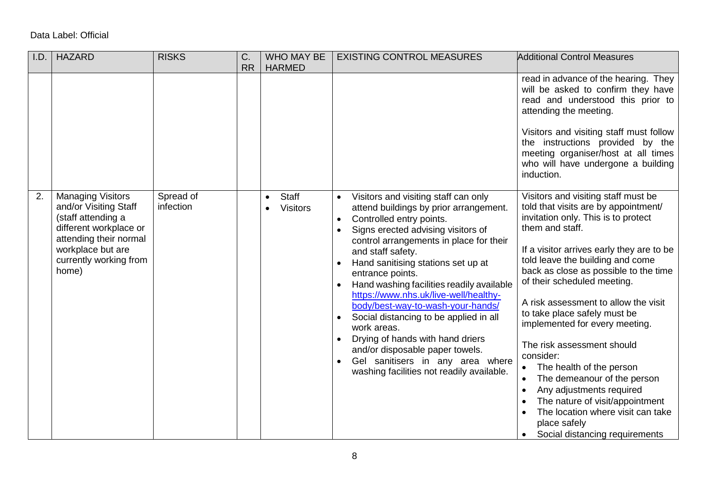| I.D. | <b>HAZARD</b>                                                                                                                                                                       | <b>RISKS</b>           | C.<br><b>RR</b> | WHO MAY BE<br><b>HARMED</b>     | <b>EXISTING CONTROL MEASURES</b>                                                                                                                                                                                                                                                                                                                                                                                                                                                                                                                                                                                                                              | <b>Additional Control Measures</b>                                                                                                                                                                                                                                                                                                                                                                                                                                                                                                                                                                                                                                   |
|------|-------------------------------------------------------------------------------------------------------------------------------------------------------------------------------------|------------------------|-----------------|---------------------------------|---------------------------------------------------------------------------------------------------------------------------------------------------------------------------------------------------------------------------------------------------------------------------------------------------------------------------------------------------------------------------------------------------------------------------------------------------------------------------------------------------------------------------------------------------------------------------------------------------------------------------------------------------------------|----------------------------------------------------------------------------------------------------------------------------------------------------------------------------------------------------------------------------------------------------------------------------------------------------------------------------------------------------------------------------------------------------------------------------------------------------------------------------------------------------------------------------------------------------------------------------------------------------------------------------------------------------------------------|
|      |                                                                                                                                                                                     |                        |                 |                                 |                                                                                                                                                                                                                                                                                                                                                                                                                                                                                                                                                                                                                                                               | read in advance of the hearing. They<br>will be asked to confirm they have<br>read and understood this prior to<br>attending the meeting.<br>Visitors and visiting staff must follow<br>the instructions provided by the<br>meeting organiser/host at all times<br>who will have undergone a building<br>induction.                                                                                                                                                                                                                                                                                                                                                  |
| 2.   | <b>Managing Visitors</b><br>and/or Visiting Staff<br>(staff attending a<br>different workplace or<br>attending their normal<br>workplace but are<br>currently working from<br>home) | Spread of<br>infection |                 | <b>Staff</b><br><b>Visitors</b> | Visitors and visiting staff can only<br>attend buildings by prior arrangement.<br>Controlled entry points.<br>$\bullet$<br>Signs erected advising visitors of<br>$\bullet$<br>control arrangements in place for their<br>and staff safety.<br>Hand sanitising stations set up at<br>entrance points.<br>Hand washing facilities readily available<br>https://www.nhs.uk/live-well/healthy-<br>body/best-way-to-wash-your-hands/<br>Social distancing to be applied in all<br>work areas.<br>Drying of hands with hand driers<br>$\bullet$<br>and/or disposable paper towels.<br>Gel sanitisers in any area where<br>washing facilities not readily available. | Visitors and visiting staff must be<br>told that visits are by appointment/<br>invitation only. This is to protect<br>them and staff.<br>If a visitor arrives early they are to be<br>told leave the building and come<br>back as close as possible to the time<br>of their scheduled meeting.<br>A risk assessment to allow the visit<br>to take place safely must be<br>implemented for every meeting.<br>The risk assessment should<br>consider:<br>The health of the person<br>The demeanour of the person<br>Any adjustments required<br>The nature of visit/appointment<br>The location where visit can take<br>place safely<br>Social distancing requirements |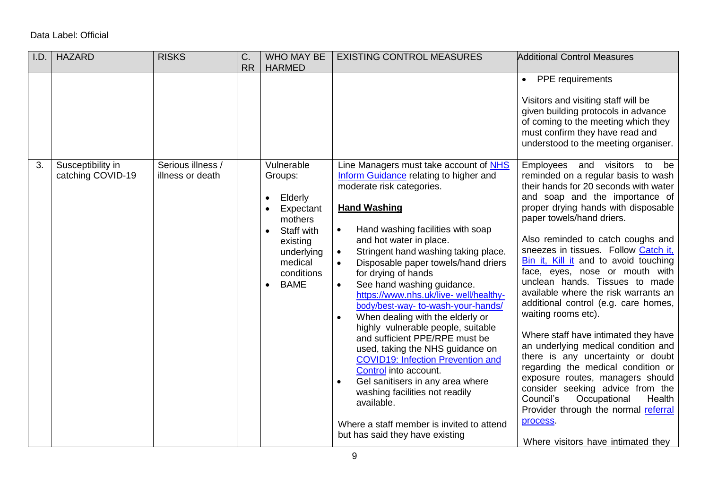| I.D. | <b>HAZARD</b>                          | <b>RISKS</b>                          | C.        | <b>WHO MAY BE</b>                                                                                                                                                                            | <b>EXISTING CONTROL MEASURES</b>                                                                                                                                                                                                                                                                                                                                                                                                                                                                                                                                                                                                                                                                                                                                                                                                                                                                | <b>Additional Control Measures</b>                                                                                                                                                                                                                                                                                                                                                                                                                                                                                                                                                                                                                                                                                                                                                                                                                                                     |
|------|----------------------------------------|---------------------------------------|-----------|----------------------------------------------------------------------------------------------------------------------------------------------------------------------------------------------|-------------------------------------------------------------------------------------------------------------------------------------------------------------------------------------------------------------------------------------------------------------------------------------------------------------------------------------------------------------------------------------------------------------------------------------------------------------------------------------------------------------------------------------------------------------------------------------------------------------------------------------------------------------------------------------------------------------------------------------------------------------------------------------------------------------------------------------------------------------------------------------------------|----------------------------------------------------------------------------------------------------------------------------------------------------------------------------------------------------------------------------------------------------------------------------------------------------------------------------------------------------------------------------------------------------------------------------------------------------------------------------------------------------------------------------------------------------------------------------------------------------------------------------------------------------------------------------------------------------------------------------------------------------------------------------------------------------------------------------------------------------------------------------------------|
|      |                                        |                                       | <b>RR</b> | <b>HARMED</b>                                                                                                                                                                                |                                                                                                                                                                                                                                                                                                                                                                                                                                                                                                                                                                                                                                                                                                                                                                                                                                                                                                 |                                                                                                                                                                                                                                                                                                                                                                                                                                                                                                                                                                                                                                                                                                                                                                                                                                                                                        |
|      |                                        |                                       |           |                                                                                                                                                                                              |                                                                                                                                                                                                                                                                                                                                                                                                                                                                                                                                                                                                                                                                                                                                                                                                                                                                                                 | <b>PPE</b> requirements<br>$\bullet$<br>Visitors and visiting staff will be<br>given building protocols in advance<br>of coming to the meeting which they<br>must confirm they have read and<br>understood to the meeting organiser.                                                                                                                                                                                                                                                                                                                                                                                                                                                                                                                                                                                                                                                   |
| 3.   | Susceptibility in<br>catching COVID-19 | Serious illness /<br>illness or death |           | Vulnerable<br>Groups:<br>Elderly<br>$\bullet$<br>Expectant<br>$\bullet$<br>mothers<br>Staff with<br>$\bullet$<br>existing<br>underlying<br>medical<br>conditions<br><b>BAME</b><br>$\bullet$ | Line Managers must take account of NHS<br>Inform Guidance relating to higher and<br>moderate risk categories.<br><b>Hand Washing</b><br>Hand washing facilities with soap<br>$\bullet$<br>and hot water in place.<br>Stringent hand washing taking place.<br>$\bullet$<br>Disposable paper towels/hand driers<br>$\bullet$<br>for drying of hands<br>See hand washing guidance.<br>$\bullet$<br>https://www.nhs.uk/live- well/healthy-<br>body/best-way- to-wash-your-hands/<br>When dealing with the elderly or<br>$\bullet$<br>highly vulnerable people, suitable<br>and sufficient PPE/RPE must be<br>used, taking the NHS guidance on<br><b>COVID19: Infection Prevention and</b><br>Control into account.<br>Gel sanitisers in any area where<br>$\bullet$<br>washing facilities not readily<br>available.<br>Where a staff member is invited to attend<br>but has said they have existing | Employees and visitors to be<br>reminded on a regular basis to wash<br>their hands for 20 seconds with water<br>and soap and the importance of<br>proper drying hands with disposable<br>paper towels/hand driers.<br>Also reminded to catch coughs and<br>sneezes in tissues. Follow Catch it,<br>Bin it, Kill it and to avoid touching<br>face, eyes, nose or mouth with<br>unclean hands. Tissues to made<br>available where the risk warrants an<br>additional control (e.g. care homes,<br>waiting rooms etc).<br>Where staff have intimated they have<br>an underlying medical condition and<br>there is any uncertainty or doubt<br>regarding the medical condition or<br>exposure routes, managers should<br>consider seeking advice from the<br>Council's<br>Occupational<br>Health<br>Provider through the normal referral<br>process.<br>Where visitors have intimated they |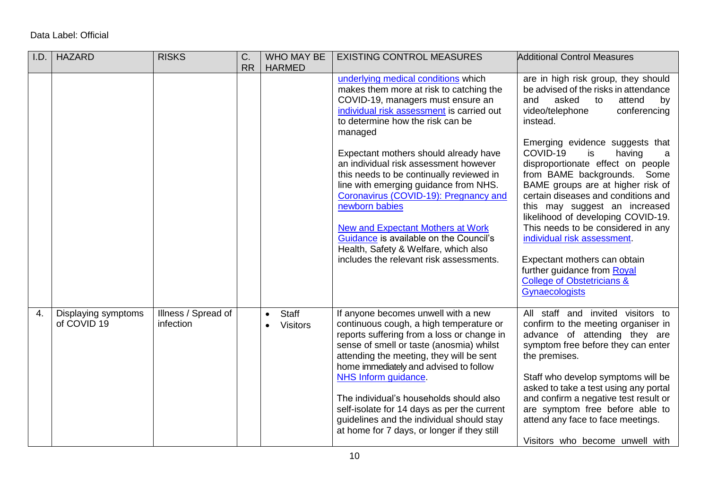| I.D.             | <b>HAZARD</b>                      | <b>RISKS</b>                     | C.<br><b>RR</b> | <b>WHO MAY BE</b><br><b>HARMED</b>                 | <b>EXISTING CONTROL MEASURES</b>                                                                                                                                                                                                                                                                                                                                                                                                                                                                                                                                                                                           | <b>Additional Control Measures</b>                                                                                                                                                                                                                                                                                                                                                                                                                                                                                                                                                                                                                          |
|------------------|------------------------------------|----------------------------------|-----------------|----------------------------------------------------|----------------------------------------------------------------------------------------------------------------------------------------------------------------------------------------------------------------------------------------------------------------------------------------------------------------------------------------------------------------------------------------------------------------------------------------------------------------------------------------------------------------------------------------------------------------------------------------------------------------------------|-------------------------------------------------------------------------------------------------------------------------------------------------------------------------------------------------------------------------------------------------------------------------------------------------------------------------------------------------------------------------------------------------------------------------------------------------------------------------------------------------------------------------------------------------------------------------------------------------------------------------------------------------------------|
|                  |                                    |                                  |                 |                                                    | underlying medical conditions which<br>makes them more at risk to catching the<br>COVID-19, managers must ensure an<br>individual risk assessment is carried out<br>to determine how the risk can be<br>managed<br>Expectant mothers should already have<br>an individual risk assessment however<br>this needs to be continually reviewed in<br>line with emerging guidance from NHS.<br>Coronavirus (COVID-19): Pregnancy and<br>newborn babies<br><b>New and Expectant Mothers at Work</b><br>Guidance is available on the Council's<br>Health, Safety & Welfare, which also<br>includes the relevant risk assessments. | are in high risk group, they should<br>be advised of the risks in attendance<br>asked<br>attend<br>and<br>to<br>by<br>video/telephone<br>conferencing<br>instead.<br>Emerging evidence suggests that<br>COVID-19<br>is<br>having<br>a<br>disproportionate effect on people<br>from BAME backgrounds. Some<br>BAME groups are at higher risk of<br>certain diseases and conditions and<br>this may suggest an increased<br>likelihood of developing COVID-19.<br>This needs to be considered in any<br>individual risk assessment.<br>Expectant mothers can obtain<br>further guidance from Royal<br><b>College of Obstetricians &amp;</b><br>Gynaecologists |
| $\overline{4}$ . | Displaying symptoms<br>of COVID 19 | Illness / Spread of<br>infection |                 | Staff<br>$\bullet$<br><b>Visitors</b><br>$\bullet$ | If anyone becomes unwell with a new<br>continuous cough, a high temperature or<br>reports suffering from a loss or change in<br>sense of smell or taste (anosmia) whilst<br>attending the meeting, they will be sent<br>home immediately and advised to follow<br>NHS Inform guidance.<br>The individual's households should also<br>self-isolate for 14 days as per the current<br>guidelines and the individual should stay<br>at home for 7 days, or longer if they still                                                                                                                                               | All staff and invited visitors to<br>confirm to the meeting organiser in<br>advance of attending they are<br>symptom free before they can enter<br>the premises.<br>Staff who develop symptoms will be<br>asked to take a test using any portal<br>and confirm a negative test result or<br>are symptom free before able to<br>attend any face to face meetings.<br>Visitors who become unwell with                                                                                                                                                                                                                                                         |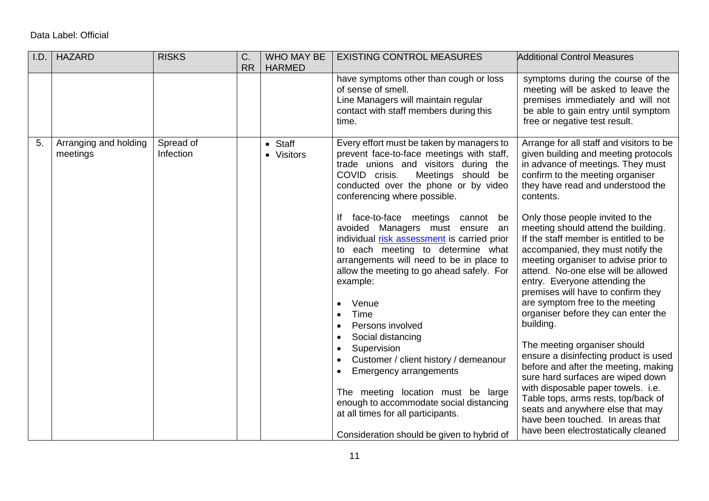| I.D. | <b>HAZARD</b>                     | <b>RISKS</b>           | C.<br><b>RR</b> | WHO MAY BE<br><b>HARMED</b>      | <b>EXISTING CONTROL MEASURES</b>                                                                                                                                                                                                                                                                                                                                                                                                                                                                                                                                                                                                                                                                                                                                                                                                                                                                  | <b>Additional Control Measures</b>                                                                                                                                                                                                                                                                                                                                                                                                                                                                                                                                                                                                                                                                                                                                                                                                                                                                                                                                  |
|------|-----------------------------------|------------------------|-----------------|----------------------------------|---------------------------------------------------------------------------------------------------------------------------------------------------------------------------------------------------------------------------------------------------------------------------------------------------------------------------------------------------------------------------------------------------------------------------------------------------------------------------------------------------------------------------------------------------------------------------------------------------------------------------------------------------------------------------------------------------------------------------------------------------------------------------------------------------------------------------------------------------------------------------------------------------|---------------------------------------------------------------------------------------------------------------------------------------------------------------------------------------------------------------------------------------------------------------------------------------------------------------------------------------------------------------------------------------------------------------------------------------------------------------------------------------------------------------------------------------------------------------------------------------------------------------------------------------------------------------------------------------------------------------------------------------------------------------------------------------------------------------------------------------------------------------------------------------------------------------------------------------------------------------------|
|      |                                   |                        |                 |                                  | have symptoms other than cough or loss<br>of sense of smell.<br>Line Managers will maintain regular<br>contact with staff members during this<br>time.                                                                                                                                                                                                                                                                                                                                                                                                                                                                                                                                                                                                                                                                                                                                            | symptoms during the course of the<br>meeting will be asked to leave the<br>premises immediately and will not<br>be able to gain entry until symptom<br>free or negative test result.                                                                                                                                                                                                                                                                                                                                                                                                                                                                                                                                                                                                                                                                                                                                                                                |
| 5.   | Arranging and holding<br>meetings | Spread of<br>Infection |                 | Staff<br>$\bullet$<br>• Visitors | Every effort must be taken by managers to<br>prevent face-to-face meetings with staff,<br>trade unions and visitors during the<br>COVID crisis.<br>Meetings should be<br>conducted over the phone or by video<br>conferencing where possible.<br>If face-to-face meetings cannot be<br>avoided Managers must ensure an<br>individual risk assessment is carried prior<br>to each meeting to determine what<br>arrangements will need to be in place to<br>allow the meeting to go ahead safely. For<br>example:<br>Venue<br>$\bullet$<br>Time<br>$\bullet$<br>Persons involved<br>$\bullet$<br>Social distancing<br>$\bullet$<br>Supervision<br>Customer / client history / demeanour<br>Emergency arrangements<br>$\bullet$<br>The meeting location must be large<br>enough to accommodate social distancing<br>at all times for all participants.<br>Consideration should be given to hybrid of | Arrange for all staff and visitors to be<br>given building and meeting protocols<br>in advance of meetings. They must<br>confirm to the meeting organiser<br>they have read and understood the<br>contents.<br>Only those people invited to the<br>meeting should attend the building.<br>If the staff member is entitled to be<br>accompanied, they must notify the<br>meeting organiser to advise prior to<br>attend. No-one else will be allowed<br>entry. Everyone attending the<br>premises will have to confirm they<br>are symptom free to the meeting<br>organiser before they can enter the<br>building.<br>The meeting organiser should<br>ensure a disinfecting product is used<br>before and after the meeting, making<br>sure hard surfaces are wiped down<br>with disposable paper towels. i.e.<br>Table tops, arms rests, top/back of<br>seats and anywhere else that may<br>have been touched. In areas that<br>have been electrostatically cleaned |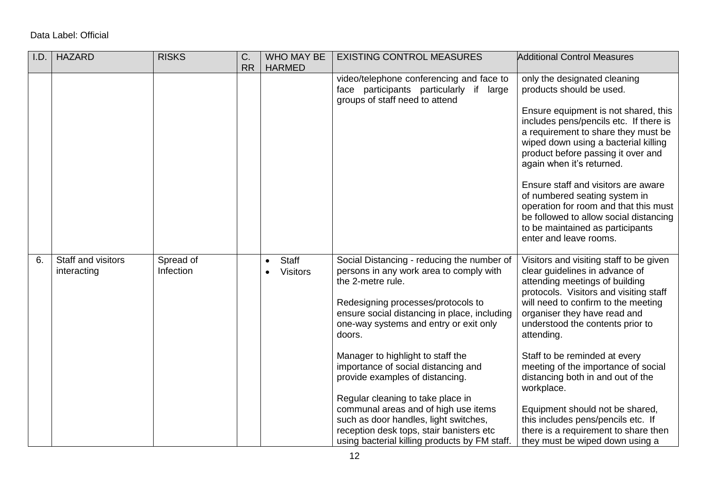| I.D. | <b>HAZARD</b>                     | <b>RISKS</b>                  | C.        | <b>WHO MAY BE</b>                            | <b>EXISTING CONTROL MEASURES</b>                                                                                                                                                                                                                     | <b>Additional Control Measures</b>                                                                                                                                                                                                                                             |
|------|-----------------------------------|-------------------------------|-----------|----------------------------------------------|------------------------------------------------------------------------------------------------------------------------------------------------------------------------------------------------------------------------------------------------------|--------------------------------------------------------------------------------------------------------------------------------------------------------------------------------------------------------------------------------------------------------------------------------|
|      |                                   |                               | <b>RR</b> | <b>HARMED</b>                                |                                                                                                                                                                                                                                                      |                                                                                                                                                                                                                                                                                |
|      |                                   |                               |           |                                              | video/telephone conferencing and face to<br>face participants particularly if large<br>groups of staff need to attend                                                                                                                                | only the designated cleaning<br>products should be used.                                                                                                                                                                                                                       |
|      |                                   |                               |           |                                              |                                                                                                                                                                                                                                                      | Ensure equipment is not shared, this<br>includes pens/pencils etc. If there is<br>a requirement to share they must be<br>wiped down using a bacterial killing<br>product before passing it over and<br>again when it's returned.                                               |
|      |                                   |                               |           |                                              |                                                                                                                                                                                                                                                      | Ensure staff and visitors are aware<br>of numbered seating system in<br>operation for room and that this must<br>be followed to allow social distancing<br>to be maintained as participants<br>enter and leave rooms.                                                          |
| 6.   | Staff and visitors<br>interacting | Spread of<br><b>Infection</b> |           | <b>Staff</b><br>$\bullet$<br><b>Visitors</b> | Social Distancing - reducing the number of<br>persons in any work area to comply with<br>the 2-metre rule.<br>Redesigning processes/protocols to<br>ensure social distancing in place, including<br>one-way systems and entry or exit only<br>doors. | Visitors and visiting staff to be given<br>clear guidelines in advance of<br>attending meetings of building<br>protocols. Visitors and visiting staff<br>will need to confirm to the meeting<br>organiser they have read and<br>understood the contents prior to<br>attending. |
|      |                                   |                               |           |                                              | Manager to highlight to staff the<br>importance of social distancing and<br>provide examples of distancing.                                                                                                                                          | Staff to be reminded at every<br>meeting of the importance of social<br>distancing both in and out of the<br>workplace.                                                                                                                                                        |
|      |                                   |                               |           |                                              | Regular cleaning to take place in<br>communal areas and of high use items<br>such as door handles, light switches,<br>reception desk tops, stair banisters etc<br>using bacterial killing products by FM staff.                                      | Equipment should not be shared,<br>this includes pens/pencils etc. If<br>there is a requirement to share then<br>they must be wiped down using a                                                                                                                               |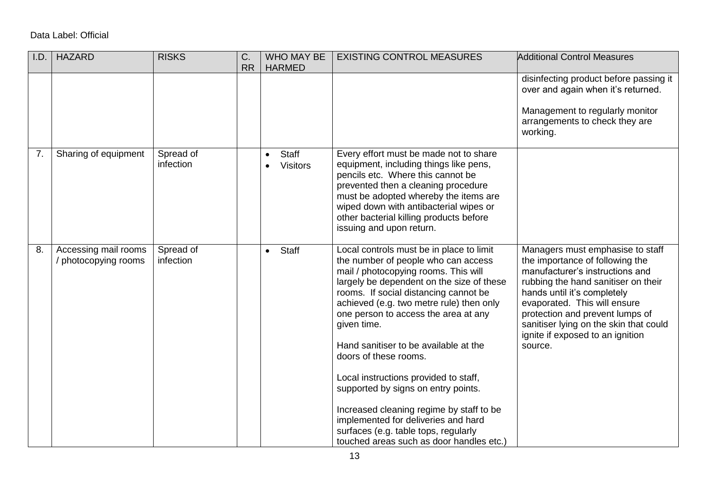| I.D. | <b>HAZARD</b>                                | <b>RISKS</b>           | C.        | <b>WHO MAY BE</b>                                  | <b>EXISTING CONTROL MEASURES</b>                                                                                                                                                                                                                                                                                                                                                                                                                                                                                                                                                                                                          | <b>Additional Control Measures</b>                                                                                                                                                                                                                                                                                                       |
|------|----------------------------------------------|------------------------|-----------|----------------------------------------------------|-------------------------------------------------------------------------------------------------------------------------------------------------------------------------------------------------------------------------------------------------------------------------------------------------------------------------------------------------------------------------------------------------------------------------------------------------------------------------------------------------------------------------------------------------------------------------------------------------------------------------------------------|------------------------------------------------------------------------------------------------------------------------------------------------------------------------------------------------------------------------------------------------------------------------------------------------------------------------------------------|
|      |                                              |                        | <b>RR</b> | <b>HARMED</b>                                      |                                                                                                                                                                                                                                                                                                                                                                                                                                                                                                                                                                                                                                           |                                                                                                                                                                                                                                                                                                                                          |
|      |                                              |                        |           |                                                    |                                                                                                                                                                                                                                                                                                                                                                                                                                                                                                                                                                                                                                           | disinfecting product before passing it<br>over and again when it's returned.<br>Management to regularly monitor<br>arrangements to check they are<br>working.                                                                                                                                                                            |
| 7.   | Sharing of equipment                         | Spread of<br>infection |           | Staff<br>$\bullet$<br><b>Visitors</b><br>$\bullet$ | Every effort must be made not to share<br>equipment, including things like pens,<br>pencils etc. Where this cannot be<br>prevented then a cleaning procedure<br>must be adopted whereby the items are<br>wiped down with antibacterial wipes or<br>other bacterial killing products before<br>issuing and upon return.                                                                                                                                                                                                                                                                                                                    |                                                                                                                                                                                                                                                                                                                                          |
| 8.   | Accessing mail rooms<br>/ photocopying rooms | Spread of<br>infection |           | Staff<br>$\bullet$                                 | Local controls must be in place to limit<br>the number of people who can access<br>mail / photocopying rooms. This will<br>largely be dependent on the size of these<br>rooms. If social distancing cannot be<br>achieved (e.g. two metre rule) then only<br>one person to access the area at any<br>given time.<br>Hand sanitiser to be available at the<br>doors of these rooms.<br>Local instructions provided to staff,<br>supported by signs on entry points.<br>Increased cleaning regime by staff to be<br>implemented for deliveries and hard<br>surfaces (e.g. table tops, regularly<br>touched areas such as door handles etc.) | Managers must emphasise to staff<br>the importance of following the<br>manufacturer's instructions and<br>rubbing the hand sanitiser on their<br>hands until it's completely<br>evaporated. This will ensure<br>protection and prevent lumps of<br>sanitiser lying on the skin that could<br>ignite if exposed to an ignition<br>source. |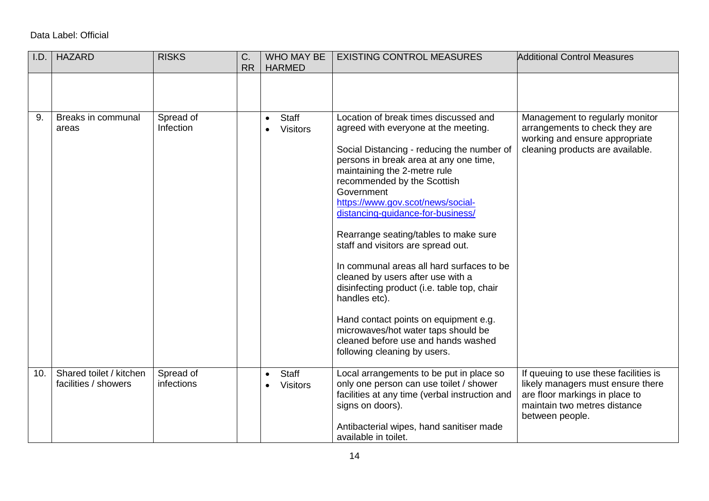| I.D. | <b>HAZARD</b>                                   | <b>RISKS</b>            | C.<br><b>RR</b> | <b>WHO MAY BE</b><br><b>HARMED</b>           | <b>EXISTING CONTROL MEASURES</b>                                                                                                                                                                                                                                                                                                                                                                                                                                                                                                                                                                                                                                                                                     | <b>Additional Control Measures</b>                                                                                                                              |
|------|-------------------------------------------------|-------------------------|-----------------|----------------------------------------------|----------------------------------------------------------------------------------------------------------------------------------------------------------------------------------------------------------------------------------------------------------------------------------------------------------------------------------------------------------------------------------------------------------------------------------------------------------------------------------------------------------------------------------------------------------------------------------------------------------------------------------------------------------------------------------------------------------------------|-----------------------------------------------------------------------------------------------------------------------------------------------------------------|
|      |                                                 |                         |                 |                                              |                                                                                                                                                                                                                                                                                                                                                                                                                                                                                                                                                                                                                                                                                                                      |                                                                                                                                                                 |
| 9.   | Breaks in communal<br>areas                     | Spread of<br>Infection  |                 | <b>Staff</b><br>$\bullet$<br><b>Visitors</b> | Location of break times discussed and<br>agreed with everyone at the meeting.<br>Social Distancing - reducing the number of<br>persons in break area at any one time,<br>maintaining the 2-metre rule<br>recommended by the Scottish<br>Government<br>https://www.gov.scot/news/social-<br>distancing-guidance-for-business/<br>Rearrange seating/tables to make sure<br>staff and visitors are spread out.<br>In communal areas all hard surfaces to be<br>cleaned by users after use with a<br>disinfecting product (i.e. table top, chair<br>handles etc).<br>Hand contact points on equipment e.g.<br>microwaves/hot water taps should be<br>cleaned before use and hands washed<br>following cleaning by users. | Management to regularly monitor<br>arrangements to check they are<br>working and ensure appropriate<br>cleaning products are available.                         |
| 10.  | Shared toilet / kitchen<br>facilities / showers | Spread of<br>infections |                 | <b>Staff</b><br>$\bullet$<br><b>Visitors</b> | Local arrangements to be put in place so<br>only one person can use toilet / shower<br>facilities at any time (verbal instruction and<br>signs on doors).<br>Antibacterial wipes, hand sanitiser made<br>available in toilet.                                                                                                                                                                                                                                                                                                                                                                                                                                                                                        | If queuing to use these facilities is<br>likely managers must ensure there<br>are floor markings in place to<br>maintain two metres distance<br>between people. |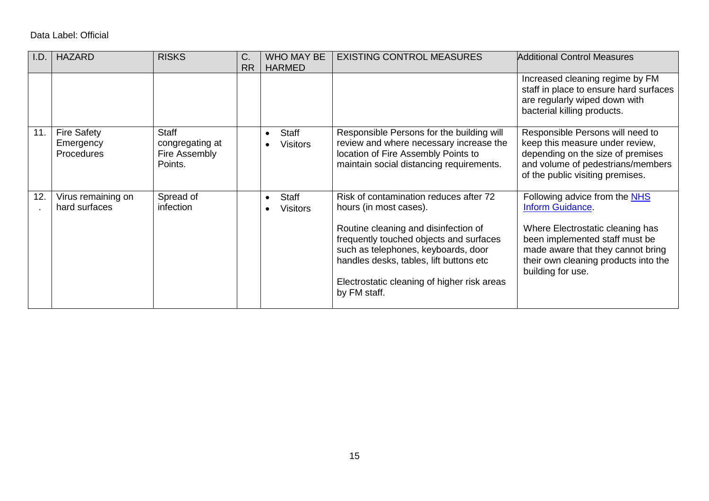| I.D | <b>HAZARD</b>                                 | <b>RISKS</b>                                                | C.        | <b>WHO MAY BE</b>                                  | <b>EXISTING CONTROL MEASURES</b>                                                                                                                                                                                                                                                                     | Additional Control Measures                                                                                                                                                                                                     |
|-----|-----------------------------------------------|-------------------------------------------------------------|-----------|----------------------------------------------------|------------------------------------------------------------------------------------------------------------------------------------------------------------------------------------------------------------------------------------------------------------------------------------------------------|---------------------------------------------------------------------------------------------------------------------------------------------------------------------------------------------------------------------------------|
|     |                                               |                                                             | <b>RR</b> | <b>HARMED</b>                                      |                                                                                                                                                                                                                                                                                                      |                                                                                                                                                                                                                                 |
|     |                                               |                                                             |           |                                                    |                                                                                                                                                                                                                                                                                                      | Increased cleaning regime by FM<br>staff in place to ensure hard surfaces<br>are regularly wiped down with<br>bacterial killing products.                                                                                       |
| 11. | <b>Fire Safety</b><br>Emergency<br>Procedures | <b>Staff</b><br>congregating at<br>Fire Assembly<br>Points. |           | Staff<br>$\bullet$<br><b>Visitors</b>              | Responsible Persons for the building will<br>review and where necessary increase the<br>location of Fire Assembly Points to<br>maintain social distancing requirements.                                                                                                                              | Responsible Persons will need to<br>keep this measure under review,<br>depending on the size of premises<br>and volume of pedestrians/members<br>of the public visiting premises.                                               |
| 12. | Virus remaining on<br>hard surfaces           | Spread of<br>infection                                      |           | Staff<br>$\bullet$<br><b>Visitors</b><br>$\bullet$ | Risk of contamination reduces after 72<br>hours (in most cases).<br>Routine cleaning and disinfection of<br>frequently touched objects and surfaces<br>such as telephones, keyboards, door<br>handles desks, tables, lift buttons etc<br>Electrostatic cleaning of higher risk areas<br>by FM staff. | Following advice from the NHS<br><b>Inform Guidance</b><br>Where Electrostatic cleaning has<br>been implemented staff must be<br>made aware that they cannot bring<br>their own cleaning products into the<br>building for use. |